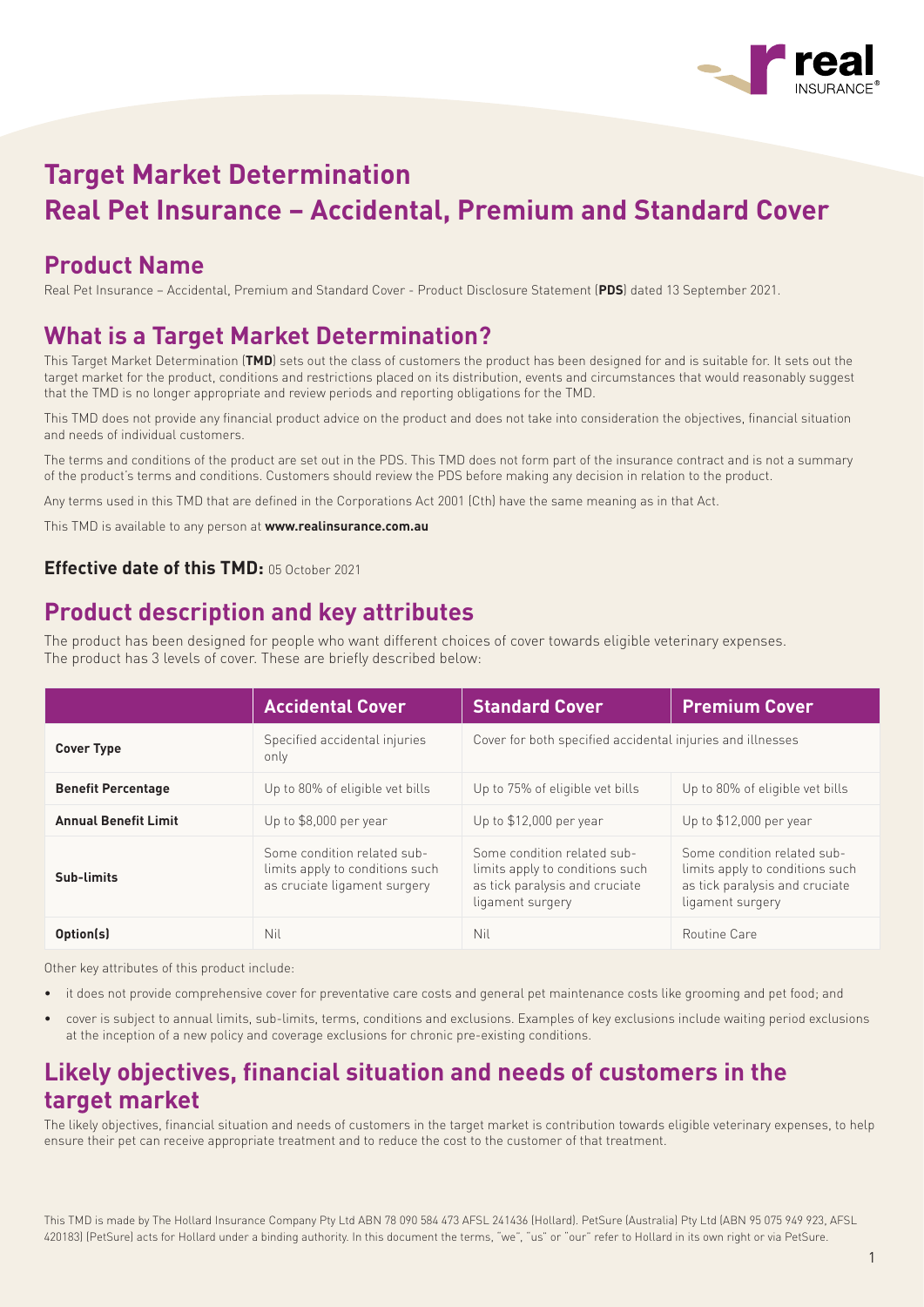

# **Target Market Determination Real Pet Insurance – Accidental, Premium and Standard Cover**

## **Product Name**

Real Pet Insurance – Accidental, Premium and Standard Cover - Product Disclosure Statement (**PDS**) dated 13 September 2021.

## **What is a Target Market Determination?**

This Target Market Determination (**TMD**) sets out the class of customers the product has been designed for and is suitable for. It sets out the target market for the product, conditions and restrictions placed on its distribution, events and circumstances that would reasonably suggest that the TMD is no longer appropriate and review periods and reporting obligations for the TMD.

This TMD does not provide any financial product advice on the product and does not take into consideration the objectives, financial situation and needs of individual customers.

The terms and conditions of the product are set out in the PDS. This TMD does not form part of the insurance contract and is not a summary of the product's terms and conditions. Customers should review the PDS before making any decision in relation to the product.

Any terms used in this TMD that are defined in the Corporations Act 2001 (Cth) have the same meaning as in that Act.

This TMD is available to any person at **www.realinsurance.com.au**

### **Effective date of this TMD:** 05 October 2021

## **Product description and key attributes**

The product has been designed for people who want different choices of cover towards eligible veterinary expenses. The product has 3 levels of cover. These are briefly described below:

|                             | <b>Accidental Cover</b>                                                                        | <b>Standard Cover</b>                                                                                                | <b>Premium Cover</b>                                                                                                 |
|-----------------------------|------------------------------------------------------------------------------------------------|----------------------------------------------------------------------------------------------------------------------|----------------------------------------------------------------------------------------------------------------------|
| <b>Cover Type</b>           | Specified accidental injuries<br>only                                                          | Cover for both specified accidental injuries and illnesses                                                           |                                                                                                                      |
| <b>Benefit Percentage</b>   | Up to 80% of eligible vet bills                                                                | Up to 75% of eligible vet bills                                                                                      | Up to 80% of eligible vet bills                                                                                      |
| <b>Annual Benefit Limit</b> | Up to \$8,000 per year                                                                         | Up to \$12,000 per year                                                                                              | Up to \$12,000 per year                                                                                              |
| Sub-limits                  | Some condition related sub-<br>limits apply to conditions such<br>as cruciate ligament surgery | Some condition related sub-<br>limits apply to conditions such<br>as tick paralysis and cruciate<br>ligament surgery | Some condition related sub-<br>limits apply to conditions such<br>as tick paralysis and cruciate<br>ligament surgery |
| <b>Option(s)</b>            | Nil                                                                                            | Nil                                                                                                                  | Routine Care                                                                                                         |

Other key attributes of this product include:

- it does not provide comprehensive cover for preventative care costs and general pet maintenance costs like grooming and pet food; and
- cover is subject to annual limits, sub-limits, terms, conditions and exclusions. Examples of key exclusions include waiting period exclusions at the inception of a new policy and coverage exclusions for chronic pre-existing conditions.

## **Likely objectives, financial situation and needs of customers in the target market**

The likely objectives, financial situation and needs of customers in the target market is contribution towards eligible veterinary expenses, to help ensure their pet can receive appropriate treatment and to reduce the cost to the customer of that treatment.

This TMD is made by The Hollard Insurance Company Pty Ltd ABN 78 090 584 473 AFSL 241436 (Hollard). PetSure (Australia) Pty Ltd (ABN 95 075 949 923, AFSL 420183) (PetSure) acts for Hollard under a binding authority. In this document the terms, "we", "us" or "our" refer to Hollard in its own right or via PetSure.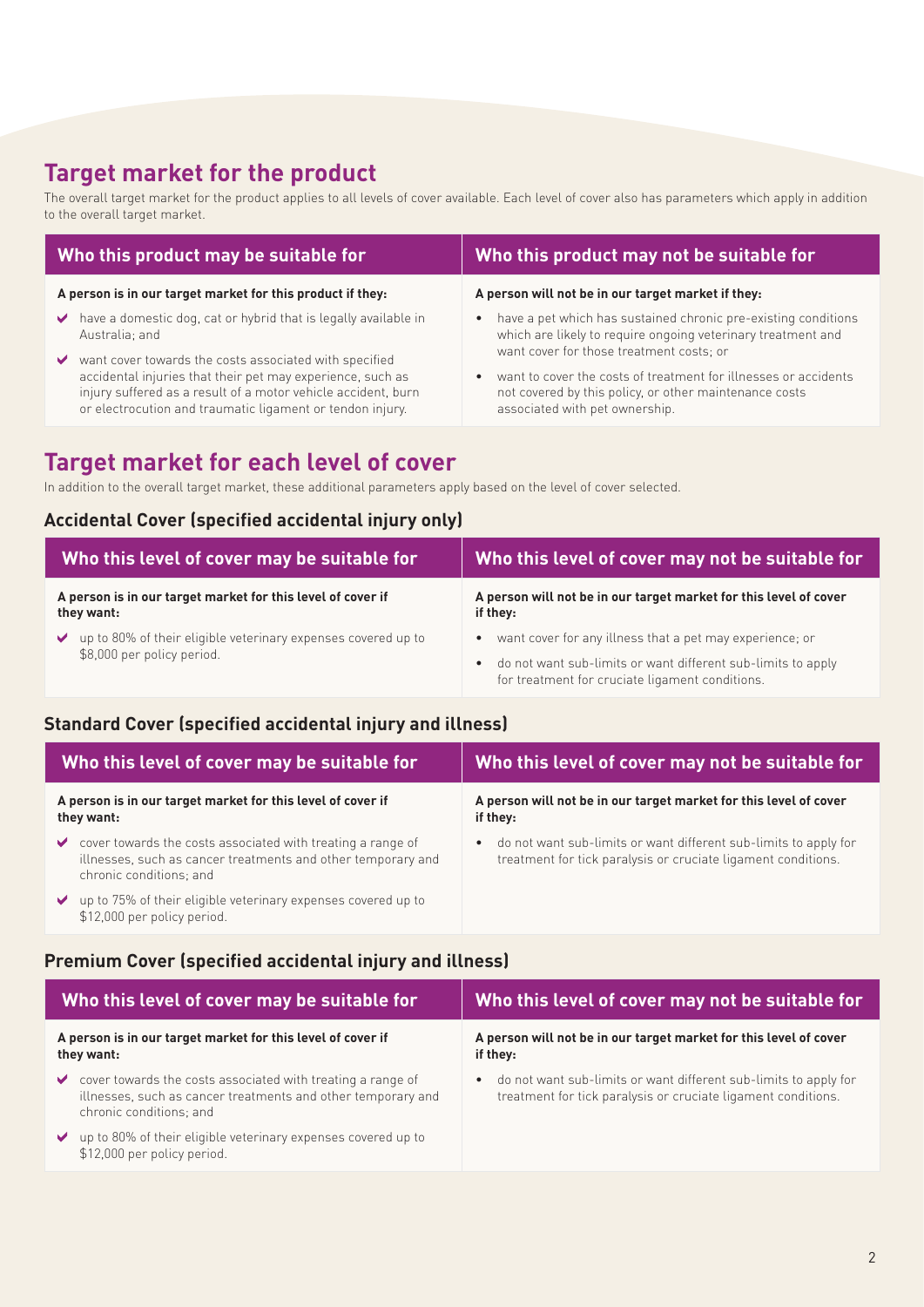## **Target market for the product**

The overall target market for the product applies to all levels of cover available. Each level of cover also has parameters which apply in addition to the overall target market.

| Who this product may be suitable for                                                                                                                                                                                                                    | Who this product may not be suitable for                                                                                                                                                                |  |
|---------------------------------------------------------------------------------------------------------------------------------------------------------------------------------------------------------------------------------------------------------|---------------------------------------------------------------------------------------------------------------------------------------------------------------------------------------------------------|--|
| A person is in our target market for this product if they:                                                                                                                                                                                              | A person will not be in our target market if they:                                                                                                                                                      |  |
| have a domestic dog, cat or hybrid that is legally available in<br>✔<br>Australia; and                                                                                                                                                                  | • have a pet which has sustained chronic pre-existing conditions<br>which are likely to require ongoing veterinary treatment and                                                                        |  |
| want cover towards the costs associated with specified<br>✔<br>accidental injuries that their pet may experience, such as<br>injury suffered as a result of a motor vehicle accident, burn<br>or electrocution and traumatic ligament or tendon injury. | want cover for those treatment costs; or<br>want to cover the costs of treatment for illnesses or accidents<br>not covered by this policy, or other maintenance costs<br>associated with pet ownership. |  |

## **Target market for each level of cover**

In addition to the overall target market, these additional parameters apply based on the level of cover selected.

### **Accidental Cover (specified accidental injury only)**

| Who this level of cover may be suitable for                                                       | Who this level of cover may not be suitable for                                                                                                                                                       |  |
|---------------------------------------------------------------------------------------------------|-------------------------------------------------------------------------------------------------------------------------------------------------------------------------------------------------------|--|
| A person is in our target market for this level of cover if<br>they want:                         | A person will not be in our target market for this level of cover<br>if they:                                                                                                                         |  |
| up to 80% of their eligible veterinary expenses covered up to<br>V.<br>\$8,000 per policy period. | want cover for any illness that a pet may experience; or<br>$\bullet$<br>do not want sub-limits or want different sub-limits to apply<br>$\bullet$<br>for treatment for cruciate ligament conditions. |  |

### **Standard Cover (specified accidental injury and illness)**

| Who this level of cover may be suitable for |                                                                                                                                                        | Who this level of cover may not be suitable for                                                                                                |  |
|---------------------------------------------|--------------------------------------------------------------------------------------------------------------------------------------------------------|------------------------------------------------------------------------------------------------------------------------------------------------|--|
|                                             | A person is in our target market for this level of cover if<br>they want:                                                                              | A person will not be in our target market for this level of cover<br>if they:                                                                  |  |
| $\blacktriangledown$                        | cover towards the costs associated with treating a range of<br>illnesses, such as cancer treatments and other temporary and<br>chronic conditions; and | do not want sub-limits or want different sub-limits to apply for<br>$\bullet$<br>treatment for tick paralysis or cruciate ligament conditions. |  |
|                                             | $\vee$ up to 75% of their eligible veterinary expenses covered up to<br>\$12,000 per policy period.                                                    |                                                                                                                                                |  |

### **Premium Cover (specified accidental injury and illness)**

| Who this level of cover may be suitable for                               |                                                                                                                                                        | Who this level of cover may not be suitable for<br>A person will not be in our target market for this level of cover<br>if they:               |  |
|---------------------------------------------------------------------------|--------------------------------------------------------------------------------------------------------------------------------------------------------|------------------------------------------------------------------------------------------------------------------------------------------------|--|
| A person is in our target market for this level of cover if<br>they want: |                                                                                                                                                        |                                                                                                                                                |  |
| $\vee$                                                                    | cover towards the costs associated with treating a range of<br>illnesses, such as cancer treatments and other temporary and<br>chronic conditions; and | do not want sub-limits or want different sub-limits to apply for<br>$\bullet$<br>treatment for tick paralysis or cruciate ligament conditions. |  |
| $\blacktriangledown$                                                      | up to 80% of their eligible veterinary expenses covered up to<br>\$12,000 per policy period.                                                           |                                                                                                                                                |  |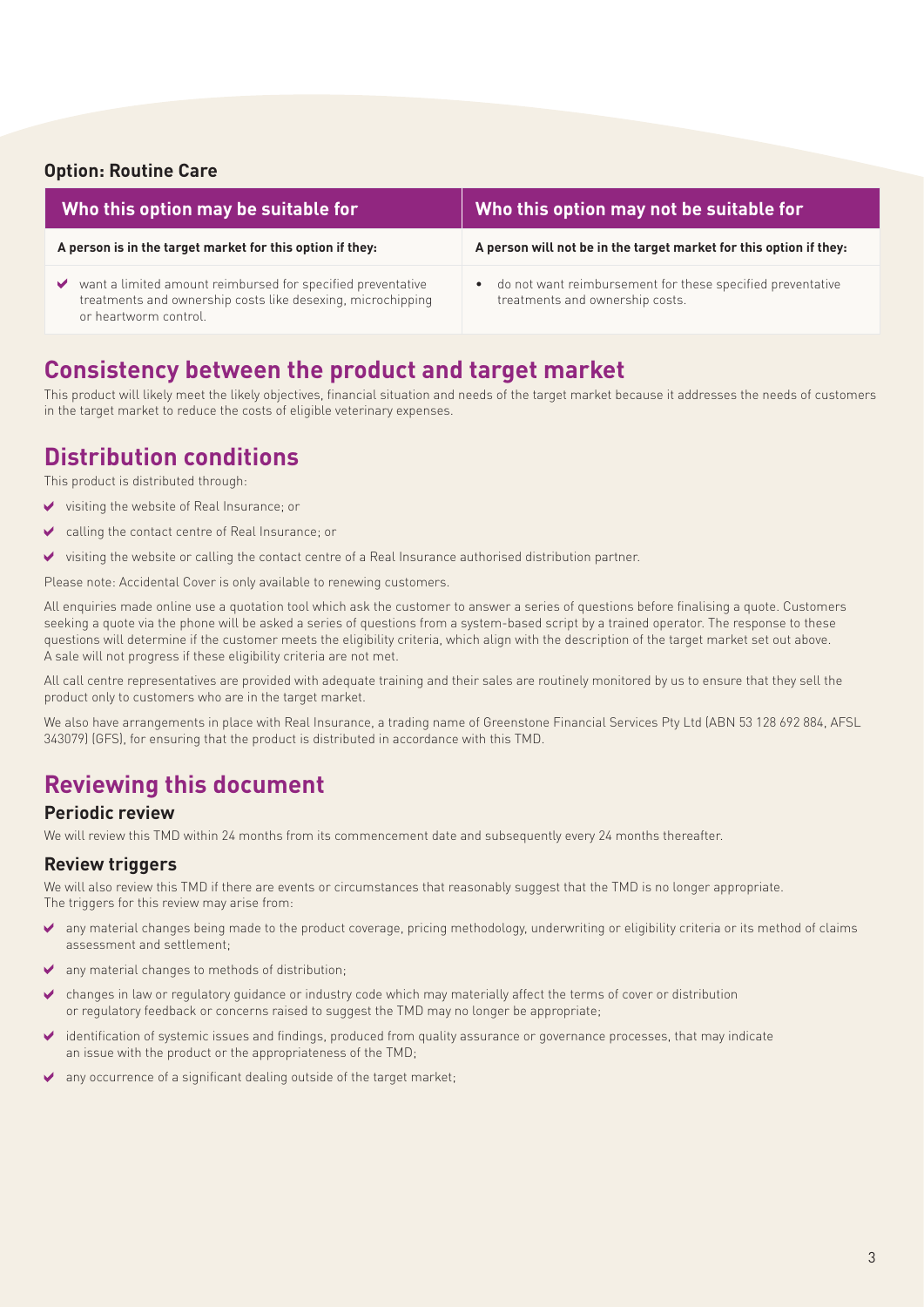### **Option: Routine Care**

|   | Who this option may be suitable for                                                                                                                 | Who this option may not be suitable for                                                         |
|---|-----------------------------------------------------------------------------------------------------------------------------------------------------|-------------------------------------------------------------------------------------------------|
|   | A person is in the target market for this option if they:                                                                                           | A person will not be in the target market for this option if they:                              |
| ✔ | want a limited amount reimbursed for specified preventative<br>treatments and ownership costs like desexing, microchipping<br>or heartworm control. | • do not want reimbursement for these specified preventative<br>treatments and ownership costs. |

### **Consistency between the product and target market**

This product will likely meet the likely objectives, financial situation and needs of the target market because it addresses the needs of customers in the target market to reduce the costs of eligible veterinary expenses.

### **Distribution conditions**

This product is distributed through:

- visiting the website of Real Insurance; or
- calling the contact centre of Real Insurance; or
- visiting the website or calling the contact centre of a Real Insurance authorised distribution partner.  $\blacktriangleright$

Please note: Accidental Cover is only available to renewing customers.

All enquiries made online use a quotation tool which ask the customer to answer a series of questions before finalising a quote. Customers seeking a quote via the phone will be asked a series of questions from a system-based script by a trained operator. The response to these questions will determine if the customer meets the eligibility criteria, which align with the description of the target market set out above. A sale will not progress if these eligibility criteria are not met.

All call centre representatives are provided with adequate training and their sales are routinely monitored by us to ensure that they sell the product only to customers who are in the target market.

We also have arrangements in place with Real Insurance, a trading name of Greenstone Financial Services Pty Ltd (ABN 53 128 692 884, AFSL 343079) (GFS), for ensuring that the product is distributed in accordance with this TMD.

## **Reviewing this document**

#### **Periodic review**

We will review this TMD within 24 months from its commencement date and subsequently every 24 months thereafter.

### **Review triggers**

We will also review this TMD if there are events or circumstances that reasonably suggest that the TMD is no longer appropriate. The triggers for this review may arise from:

- any material changes being made to the product coverage, pricing methodology, underwriting or eligibility criteria or its method of claims assessment and settlement;
- any material changes to methods of distribution;
- changes in law or regulatory guidance or industry code which may materially affect the terms of cover or distribution  $\ddot{\phantom{0}}$ or regulatory feedback or concerns raised to suggest the TMD may no longer be appropriate;
- identification of systemic issues and findings, produced from quality assurance or governance processes, that may indicate an issue with the product or the appropriateness of the TMD;
- any occurrence of a significant dealing outside of the target market;